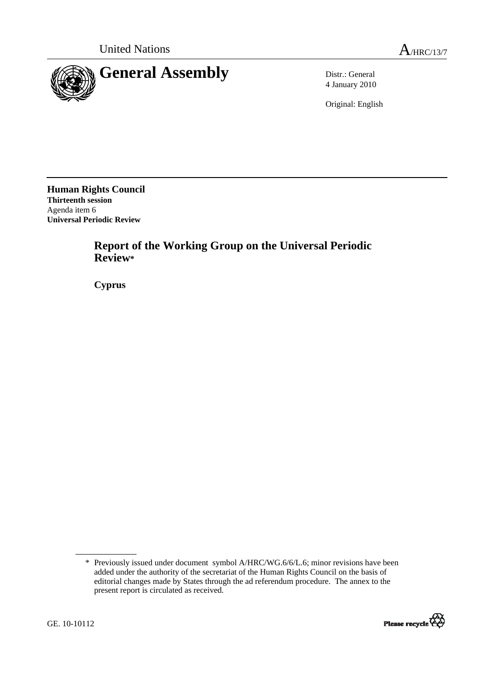

4 January 2010

Original: English

**Human Rights Council Thirteenth session**  Agenda item 6 **Universal Periodic Review** 

> **Report of the Working Group on the Universal Periodic Review\***

 **Cyprus** 

<sup>\*</sup> Previously issued under document symbol A/HRC/WG.6/6/L.6; minor revisions have been added under the authority of the secretariat of the Human Rights Council on the basis of editorial changes made by States through the ad referendum procedure. The annex to the present report is circulated as received.

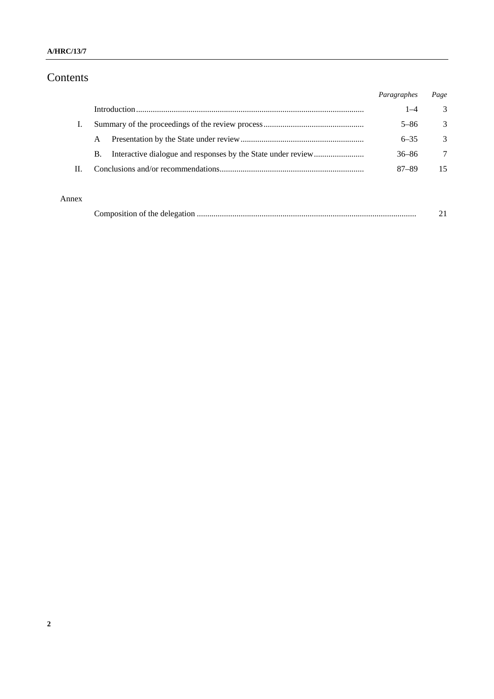### **A/HRC/13/7**

# Contents

|    |    | Paragraphes | Page          |
|----|----|-------------|---------------|
|    |    | 1–4         | 3             |
|    |    | $5 - 86$    | 3             |
|    | A  | $6 - 35$    | $\mathcal{R}$ |
|    | B. | 36–86       | 7             |
| H. |    | $87 - 89$   | 15            |
|    |    |             |               |

## Annex

| ompo<br>аноп от | the delegation ' |  |
|-----------------|------------------|--|
|-----------------|------------------|--|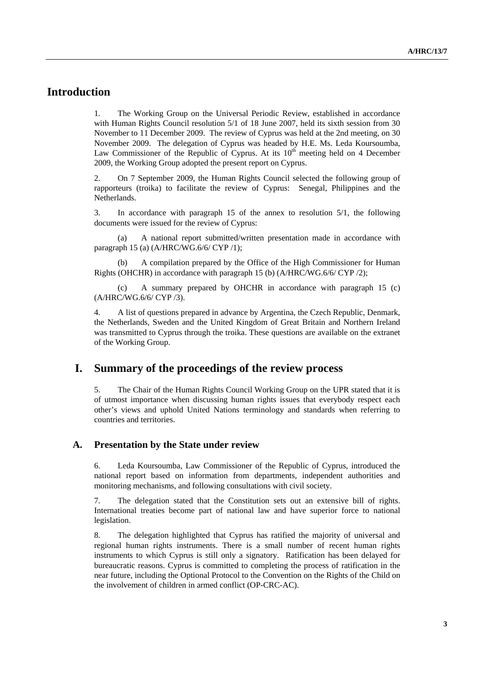# **Introduction**

1. The Working Group on the Universal Periodic Review, established in accordance with Human Rights Council resolution 5/1 of 18 June 2007, held its sixth session from 30 November to 11 December 2009. The review of Cyprus was held at the 2nd meeting, on 30 November 2009. The delegation of Cyprus was headed by H.E. Ms. Leda Koursoumba, Law Commissioner of the Republic of Cyprus. At its  $10<sup>th</sup>$  meeting held on 4 December 2009, the Working Group adopted the present report on Cyprus.

2. On 7 September 2009, the Human Rights Council selected the following group of rapporteurs (troika) to facilitate the review of Cyprus: Senegal, Philippines and the Netherlands.

3. In accordance with paragraph 15 of the annex to resolution 5/1, the following documents were issued for the review of Cyprus:

 (a) A national report submitted/written presentation made in accordance with paragraph 15 (a) (A/HRC/WG.6/6/ CYP /1);

A compilation prepared by the Office of the High Commissioner for Human Rights (OHCHR) in accordance with paragraph 15 (b) (A/HRC/WG.6/6/ CYP /2);

 (c) A summary prepared by OHCHR in accordance with paragraph 15 (c) (A/HRC/WG.6/6/ CYP /3).

4. A list of questions prepared in advance by Argentina, the Czech Republic, Denmark, the Netherlands, Sweden and the United Kingdom of Great Britain and Northern Ireland was transmitted to Cyprus through the troika. These questions are available on the extranet of the Working Group.

# **I. Summary of the proceedings of the review process**

5. The Chair of the Human Rights Council Working Group on the UPR stated that it is of utmost importance when discussing human rights issues that everybody respect each other's views and uphold United Nations terminology and standards when referring to countries and territories.

#### **A. Presentation by the State under review**

6. Leda Koursoumba, Law Commissioner of the Republic of Cyprus, introduced the national report based on information from departments, independent authorities and monitoring mechanisms, and following consultations with civil society.

7. The delegation stated that the Constitution sets out an extensive bill of rights. International treaties become part of national law and have superior force to national legislation.

8. The delegation highlighted that Cyprus has ratified the majority of universal and regional human rights instruments. There is a small number of recent human rights instruments to which Cyprus is still only a signatory. Ratification has been delayed for bureaucratic reasons. Cyprus is committed to completing the process of ratification in the near future, including the Optional Protocol to the Convention on the Rights of the Child on the involvement of children in armed conflict (OP-CRC-AC).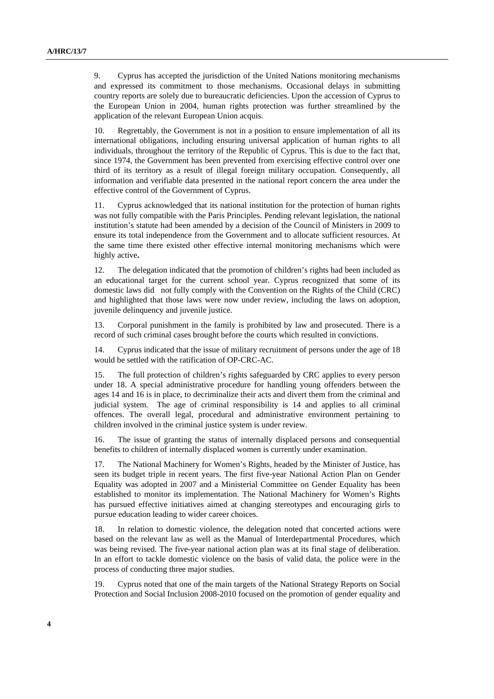9. Cyprus has accepted the jurisdiction of the United Nations monitoring mechanisms and expressed its commitment to those mechanisms. Occasional delays in submitting country reports are solely due to bureaucratic deficiencies. Upon the accession of Cyprus to the European Union in 2004, human rights protection was further streamlined by the application of the relevant European Union acquis.

10. Regrettably, the Government is not in a position to ensure implementation of all its international obligations, including ensuring universal application of human rights to all individuals, throughout the territory of the Republic of Cyprus. This is due to the fact that, since 1974, the Government has been prevented from exercising effective control over one third of its territory as a result of illegal foreign military occupation. Consequently, all information and verifiable data presented in the national report concern the area under the effective control of the Government of Cyprus.

11. Cyprus acknowledged that its national institution for the protection of human rights was not fully compatible with the Paris Principles. Pending relevant legislation, the national institution's statute had been amended by a decision of the Council of Ministers in 2009 to ensure its total independence from the Government and to allocate sufficient resources. At the same time there existed other effective internal monitoring mechanisms which were highly active**.** 

12. The delegation indicated that the promotion of children's rights had been included as an educational target for the current school year. Cyprus recognized that some of its domestic laws did not fully comply with the Convention on the Rights of the Child (CRC) and highlighted that those laws were now under review, including the laws on adoption, juvenile delinquency and juvenile justice.

13. Corporal punishment in the family is prohibited by law and prosecuted. There is a record of such criminal cases brought before the courts which resulted in convictions.

14. Cyprus indicated that the issue of military recruitment of persons under the age of 18 would be settled with the ratification of OP-CRC-AC.

15. The full protection of children's rights safeguarded by CRC applies to every person under 18. A special administrative procedure for handling young offenders between the ages 14 and 16 is in place, to decriminalize their acts and divert them from the criminal and judicial system. The age of criminal responsibility is 14 and applies to all criminal offences. The overall legal, procedural and administrative environment pertaining to children involved in the criminal justice system is under review.

16. The issue of granting the status of internally displaced persons and consequential benefits to children of internally displaced women is currently under examination.

17. The National Machinery for Women's Rights, headed by the Minister of Justice, has seen its budget triple in recent years. The first five-year National Action Plan on Gender Equality was adopted in 2007 and a Ministerial Committee on Gender Equality has been established to monitor its implementation. The National Machinery for Women's Rights has pursued effective initiatives aimed at changing stereotypes and encouraging girls to pursue education leading to wider career choices.

18. In relation to domestic violence, the delegation noted that concerted actions were based on the relevant law as well as the Manual of Interdepartmental Procedures, which was being revised. The five-year national action plan was at its final stage of deliberation. In an effort to tackle domestic violence on the basis of valid data, the police were in the process of conducting three major studies.

19. Cyprus noted that one of the main targets of the National Strategy Reports on Social Protection and Social Inclusion 2008-2010 focused on the promotion of gender equality and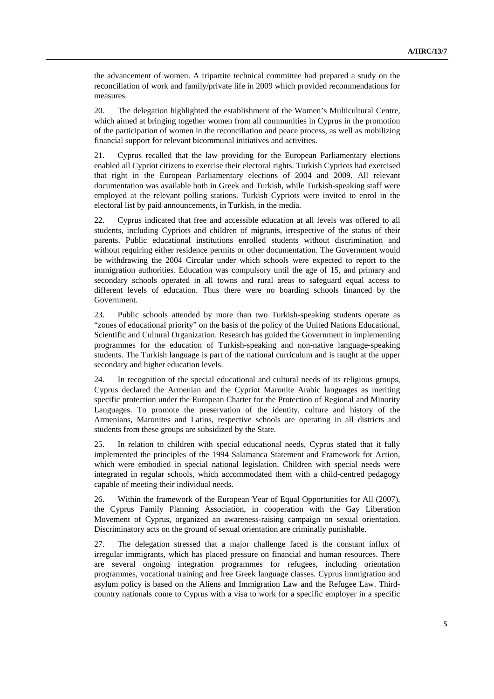the advancement of women. A tripartite technical committee had prepared a study on the reconciliation of work and family/private life in 2009 which provided recommendations for measures.

20. The delegation highlighted the establishment of the Women's Multicultural Centre, which aimed at bringing together women from all communities in Cyprus in the promotion of the participation of women in the reconciliation and peace process, as well as mobilizing financial support for relevant bicommunal initiatives and activities.

21. Cyprus recalled that the law providing for the European Parliamentary elections enabled all Cypriot citizens to exercise their electoral rights. Turkish Cypriots had exercised that right in the European Parliamentary elections of 2004 and 2009. All relevant documentation was available both in Greek and Turkish, while Turkish-speaking staff were employed at the relevant polling stations. Turkish Cypriots were invited to enrol in the electoral list by paid announcements, in Turkish, in the media.

22. Cyprus indicated that free and accessible education at all levels was offered to all students, including Cypriots and children of migrants, irrespective of the status of their parents. Public educational institutions enrolled students without discrimination and without requiring either residence permits or other documentation. The Government would be withdrawing the 2004 Circular under which schools were expected to report to the immigration authorities. Education was compulsory until the age of 15, and primary and secondary schools operated in all towns and rural areas to safeguard equal access to different levels of education. Thus there were no boarding schools financed by the Government.

23. Public schools attended by more than two Turkish-speaking students operate as "zones of educational priority" on the basis of the policy of the United Nations Educational, Scientific and Cultural Organization. Research has guided the Government in implementing programmes for the education of Turkish-speaking and non-native language-speaking students. The Turkish language is part of the national curriculum and is taught at the upper secondary and higher education levels.

24. In recognition of the special educational and cultural needs of its religious groups, Cyprus declared the Armenian and the Cypriot Maronite Arabic languages as meriting specific protection under the European Charter for the Protection of Regional and Minority Languages. To promote the preservation of the identity, culture and history of the Armenians, Maronites and Latins, respective schools are operating in all districts and students from these groups are subsidized by the State.

25. In relation to children with special educational needs, Cyprus stated that it fully implemented the principles of the 1994 Salamanca Statement and Framework for Action, which were embodied in special national legislation. Children with special needs were integrated in regular schools, which accommodated them with a child-centred pedagogy capable of meeting their individual needs.

26. Within the framework of the European Year of Equal Opportunities for All (2007), the Cyprus Family Planning Association, in cooperation with the Gay Liberation Movement of Cyprus, organized an awareness-raising campaign on sexual orientation. Discriminatory acts on the ground of sexual orientation are criminally punishable.

27. The delegation stressed that a major challenge faced is the constant influx of irregular immigrants, which has placed pressure on financial and human resources. There are several ongoing integration programmes for refugees, including orientation programmes, vocational training and free Greek language classes. Cyprus immigration and asylum policy is based on the Aliens and Immigration Law and the Refugee Law. Thirdcountry nationals come to Cyprus with a visa to work for a specific employer in a specific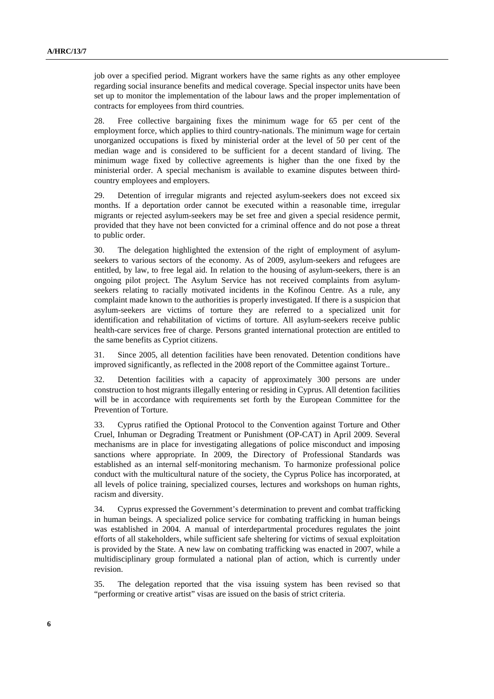job over a specified period. Migrant workers have the same rights as any other employee regarding social insurance benefits and medical coverage. Special inspector units have been set up to monitor the implementation of the labour laws and the proper implementation of contracts for employees from third countries.

28. Free collective bargaining fixes the minimum wage for 65 per cent of the employment force, which applies to third country-nationals. The minimum wage for certain unorganized occupations is fixed by ministerial order at the level of 50 per cent of the median wage and is considered to be sufficient for a decent standard of living. The minimum wage fixed by collective agreements is higher than the one fixed by the ministerial order. A special mechanism is available to examine disputes between thirdcountry employees and employers.

29. Detention of irregular migrants and rejected asylum-seekers does not exceed six months. If a deportation order cannot be executed within a reasonable time, irregular migrants or rejected asylum-seekers may be set free and given a special residence permit, provided that they have not been convicted for a criminal offence and do not pose a threat to public order.

30. The delegation highlighted the extension of the right of employment of asylumseekers to various sectors of the economy. As of 2009, asylum-seekers and refugees are entitled, by law, to free legal aid. In relation to the housing of asylum-seekers, there is an ongoing pilot project. The Asylum Service has not received complaints from asylumseekers relating to racially motivated incidents in the Kofinou Centre. As a rule, any complaint made known to the authorities is properly investigated. If there is a suspicion that asylum-seekers are victims of torture they are referred to a specialized unit for identification and rehabilitation of victims of torture. All asylum-seekers receive public health-care services free of charge. Persons granted international protection are entitled to the same benefits as Cypriot citizens.

31. Since 2005, all detention facilities have been renovated. Detention conditions have improved significantly, as reflected in the 2008 report of the Committee against Torture..

32. Detention facilities with a capacity of approximately 300 persons are under construction to host migrants illegally entering or residing in Cyprus. All detention facilities will be in accordance with requirements set forth by the European Committee for the Prevention of Torture.

33. Cyprus ratified the Optional Protocol to the Convention against Torture and Other Cruel, Inhuman or Degrading Treatment or Punishment (OP-CAT) in April 2009. Several mechanisms are in place for investigating allegations of police misconduct and imposing sanctions where appropriate. In 2009, the Directory of Professional Standards was established as an internal self-monitoring mechanism. To harmonize professional police conduct with the multicultural nature of the society, the Cyprus Police has incorporated, at all levels of police training, specialized courses, lectures and workshops on human rights, racism and diversity.

34. Cyprus expressed the Government's determination to prevent and combat trafficking in human beings. A specialized police service for combating trafficking in human beings was established in 2004. A manual of interdepartmental procedures regulates the joint efforts of all stakeholders, while sufficient safe sheltering for victims of sexual exploitation is provided by the State. A new law on combating trafficking was enacted in 2007, while a multidisciplinary group formulated a national plan of action, which is currently under revision.

35. The delegation reported that the visa issuing system has been revised so that "performing or creative artist" visas are issued on the basis of strict criteria.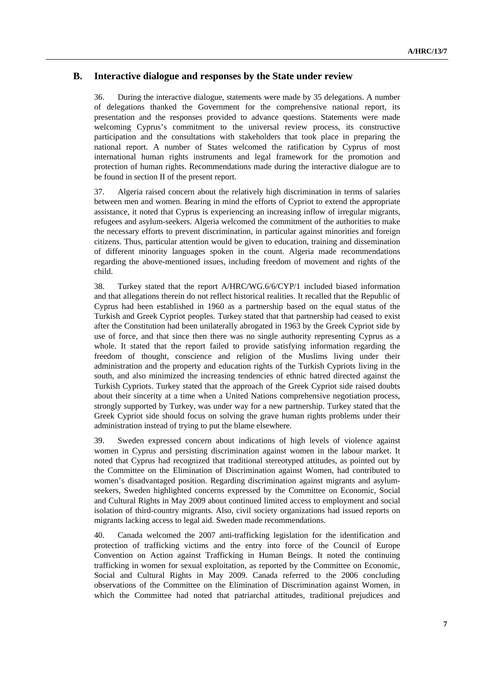## **B. Interactive dialogue and responses by the State under review**

36. During the interactive dialogue, statements were made by 35 delegations. A number of delegations thanked the Government for the comprehensive national report, its presentation and the responses provided to advance questions. Statements were made welcoming Cyprus's commitment to the universal review process, its constructive participation and the consultations with stakeholders that took place in preparing the national report. A number of States welcomed the ratification by Cyprus of most international human rights instruments and legal framework for the promotion and protection of human rights. Recommendations made during the interactive dialogue are to be found in section II of the present report.

37. Algeria raised concern about the relatively high discrimination in terms of salaries between men and women. Bearing in mind the efforts of Cypriot to extend the appropriate assistance, it noted that Cyprus is experiencing an increasing inflow of irregular migrants, refugees and asylum-seekers. Algeria welcomed the commitment of the authorities to make the necessary efforts to prevent discrimination, in particular against minorities and foreign citizens. Thus, particular attention would be given to education, training and dissemination of different minority languages spoken in the count. Algeria made recommendations regarding the above-mentioned issues, including freedom of movement and rights of the child.

38. Turkey stated that the report A/HRC/WG.6/6/CYP/1 included biased information and that allegations therein do not reflect historical realities. It recalled that the Republic of Cyprus had been established in 1960 as a partnership based on the equal status of the Turkish and Greek Cypriot peoples. Turkey stated that that partnership had ceased to exist after the Constitution had been unilaterally abrogated in 1963 by the Greek Cypriot side by use of force, and that since then there was no single authority representing Cyprus as a whole. It stated that the report failed to provide satisfying information regarding the freedom of thought, conscience and religion of the Muslims living under their administration and the property and education rights of the Turkish Cypriots living in the south, and also minimized the increasing tendencies of ethnic hatred directed against the Turkish Cypriots. Turkey stated that the approach of the Greek Cypriot side raised doubts about their sincerity at a time when a United Nations comprehensive negotiation process, strongly supported by Turkey, was under way for a new partnership. Turkey stated that the Greek Cypriot side should focus on solving the grave human rights problems under their administration instead of trying to put the blame elsewhere.

39. Sweden expressed concern about indications of high levels of violence against women in Cyprus and persisting discrimination against women in the labour market. It noted that Cyprus had recognized that traditional stereotyped attitudes, as pointed out by the Committee on the Elimination of Discrimination against Women, had contributed to women's disadvantaged position. Regarding discrimination against migrants and asylumseekers, Sweden highlighted concerns expressed by the Committee on Economic, Social and Cultural Rights in May 2009 about continued limited access to employment and social isolation of third-country migrants. Also, civil society organizations had issued reports on migrants lacking access to legal aid. Sweden made recommendations.

40. Canada welcomed the 2007 anti-trafficking legislation for the identification and protection of trafficking victims and the entry into force of the Council of Europe Convention on Action against Trafficking in Human Beings. It noted the continuing trafficking in women for sexual exploitation, as reported by the Committee on Economic, Social and Cultural Rights in May 2009. Canada referred to the 2006 concluding observations of the Committee on the Elimination of Discrimination against Women, in which the Committee had noted that patriarchal attitudes, traditional prejudices and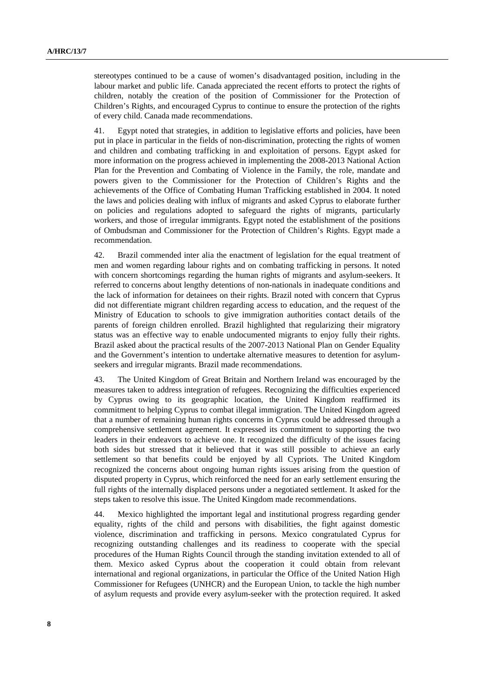stereotypes continued to be a cause of women's disadvantaged position, including in the labour market and public life. Canada appreciated the recent efforts to protect the rights of children, notably the creation of the position of Commissioner for the Protection of Children's Rights, and encouraged Cyprus to continue to ensure the protection of the rights of every child. Canada made recommendations.

41. Egypt noted that strategies, in addition to legislative efforts and policies, have been put in place in particular in the fields of non-discrimination, protecting the rights of women and children and combating trafficking in and exploitation of persons. Egypt asked for more information on the progress achieved in implementing the 2008-2013 National Action Plan for the Prevention and Combating of Violence in the Family, the role, mandate and powers given to the Commissioner for the Protection of Children's Rights and the achievements of the Office of Combating Human Trafficking established in 2004. It noted the laws and policies dealing with influx of migrants and asked Cyprus to elaborate further on policies and regulations adopted to safeguard the rights of migrants, particularly workers, and those of irregular immigrants. Egypt noted the establishment of the positions of Ombudsman and Commissioner for the Protection of Children's Rights. Egypt made a recommendation.

42. Brazil commended inter alia the enactment of legislation for the equal treatment of men and women regarding labour rights and on combating trafficking in persons. It noted with concern shortcomings regarding the human rights of migrants and asylum-seekers. It referred to concerns about lengthy detentions of non-nationals in inadequate conditions and the lack of information for detainees on their rights. Brazil noted with concern that Cyprus did not differentiate migrant children regarding access to education, and the request of the Ministry of Education to schools to give immigration authorities contact details of the parents of foreign children enrolled. Brazil highlighted that regularizing their migratory status was an effective way to enable undocumented migrants to enjoy fully their rights. Brazil asked about the practical results of the 2007-2013 National Plan on Gender Equality and the Government's intention to undertake alternative measures to detention for asylumseekers and irregular migrants. Brazil made recommendations.

43. The United Kingdom of Great Britain and Northern Ireland was encouraged by the measures taken to address integration of refugees. Recognizing the difficulties experienced by Cyprus owing to its geographic location, the United Kingdom reaffirmed its commitment to helping Cyprus to combat illegal immigration. The United Kingdom agreed that a number of remaining human rights concerns in Cyprus could be addressed through a comprehensive settlement agreement. It expressed its commitment to supporting the two leaders in their endeavors to achieve one. It recognized the difficulty of the issues facing both sides but stressed that it believed that it was still possible to achieve an early settlement so that benefits could be enjoyed by all Cypriots. The United Kingdom recognized the concerns about ongoing human rights issues arising from the question of disputed property in Cyprus, which reinforced the need for an early settlement ensuring the full rights of the internally displaced persons under a negotiated settlement. It asked for the steps taken to resolve this issue. The United Kingdom made recommendations.

44. Mexico highlighted the important legal and institutional progress regarding gender equality, rights of the child and persons with disabilities, the fight against domestic violence, discrimination and trafficking in persons. Mexico congratulated Cyprus for recognizing outstanding challenges and its readiness to cooperate with the special procedures of the Human Rights Council through the standing invitation extended to all of them. Mexico asked Cyprus about the cooperation it could obtain from relevant international and regional organizations, in particular the Office of the United Nation High Commissioner for Refugees (UNHCR) and the European Union, to tackle the high number of asylum requests and provide every asylum-seeker with the protection required. It asked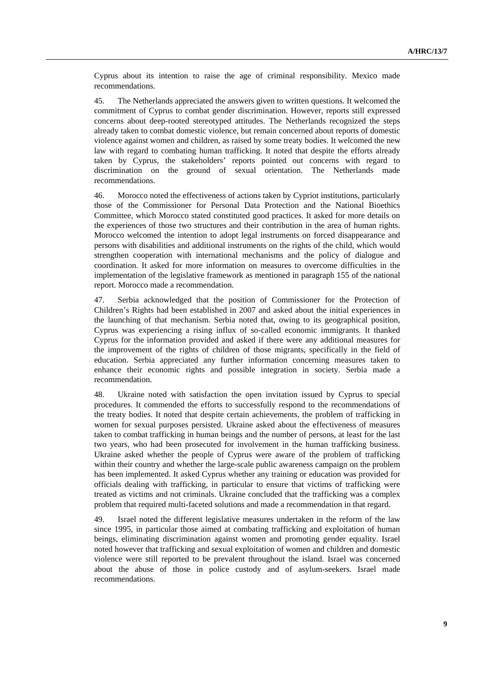Cyprus about its intention to raise the age of criminal responsibility. Mexico made recommendations.

45. The Netherlands appreciated the answers given to written questions. It welcomed the commitment of Cyprus to combat gender discrimination. However, reports still expressed concerns about deep-rooted stereotyped attitudes. The Netherlands recognized the steps already taken to combat domestic violence, but remain concerned about reports of domestic violence against women and children, as raised by some treaty bodies. It welcomed the new law with regard to combating human trafficking. It noted that despite the efforts already taken by Cyprus, the stakeholders' reports pointed out concerns with regard to discrimination on the ground of sexual orientation. The Netherlands made recommendations.

46. Morocco noted the effectiveness of actions taken by Cypriot institutions, particularly those of the Commissioner for Personal Data Protection and the National Bioethics Committee, which Morocco stated constituted good practices. It asked for more details on the experiences of those two structures and their contribution in the area of human rights. Morocco welcomed the intention to adopt legal instruments on forced disappearance and persons with disabilities and additional instruments on the rights of the child, which would strengthen cooperation with international mechanisms and the policy of dialogue and coordination. It asked for more information on measures to overcome difficulties in the implementation of the legislative framework as mentioned in paragraph 155 of the national report. Morocco made a recommendation.

47. Serbia acknowledged that the position of Commissioner for the Protection of Children's Rights had been established in 2007 and asked about the initial experiences in the launching of that mechanism. Serbia noted that, owing to its geographical position, Cyprus was experiencing a rising influx of so-called economic immigrants. It thanked Cyprus for the information provided and asked if there were any additional measures for the improvement of the rights of children of those migrants, specifically in the field of education. Serbia appreciated any further information concerning measures taken to enhance their economic rights and possible integration in society. Serbia made a recommendation.

48. Ukraine noted with satisfaction the open invitation issued by Cyprus to special procedures. It commended the efforts to successfully respond to the recommendations of the treaty bodies. It noted that despite certain achievements, the problem of trafficking in women for sexual purposes persisted. Ukraine asked about the effectiveness of measures taken to combat trafficking in human beings and the number of persons, at least for the last two years, who had been prosecuted for involvement in the human trafficking business. Ukraine asked whether the people of Cyprus were aware of the problem of trafficking within their country and whether the large-scale public awareness campaign on the problem has been implemented. It asked Cyprus whether any training or education was provided for officials dealing with trafficking, in particular to ensure that victims of trafficking were treated as victims and not criminals. Ukraine concluded that the trafficking was a complex problem that required multi-faceted solutions and made a recommendation in that regard.

49. Israel noted the different legislative measures undertaken in the reform of the law since 1995, in particular those aimed at combating trafficking and exploitation of human beings, eliminating discrimination against women and promoting gender equality. Israel noted however that trafficking and sexual exploitation of women and children and domestic violence were still reported to be prevalent throughout the island. Israel was concerned about the abuse of those in police custody and of asylum-seekers. Israel made recommendations.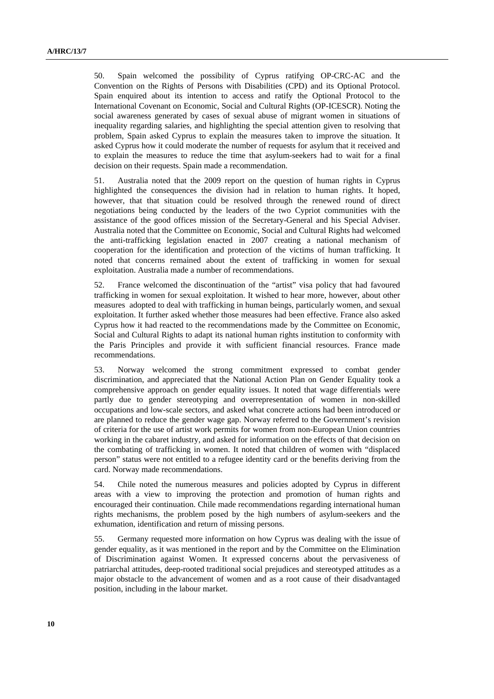50. Spain welcomed the possibility of Cyprus ratifying OP-CRC-AC and the Convention on the Rights of Persons with Disabilities (CPD) and its Optional Protocol. Spain enquired about its intention to access and ratify the Optional Protocol to the International Covenant on Economic, Social and Cultural Rights (OP-ICESCR). Noting the social awareness generated by cases of sexual abuse of migrant women in situations of inequality regarding salaries, and highlighting the special attention given to resolving that problem, Spain asked Cyprus to explain the measures taken to improve the situation. It asked Cyprus how it could moderate the number of requests for asylum that it received and to explain the measures to reduce the time that asylum-seekers had to wait for a final decision on their requests. Spain made a recommendation.

51. Australia noted that the 2009 report on the question of human rights in Cyprus highlighted the consequences the division had in relation to human rights. It hoped, however, that that situation could be resolved through the renewed round of direct negotiations being conducted by the leaders of the two Cypriot communities with the assistance of the good offices mission of the Secretary-General and his Special Adviser. Australia noted that the Committee on Economic, Social and Cultural Rights had welcomed the anti-trafficking legislation enacted in 2007 creating a national mechanism of cooperation for the identification and protection of the victims of human trafficking. It noted that concerns remained about the extent of trafficking in women for sexual exploitation. Australia made a number of recommendations.

52. France welcomed the discontinuation of the "artist" visa policy that had favoured trafficking in women for sexual exploitation. It wished to hear more, however, about other measures adopted to deal with trafficking in human beings, particularly women, and sexual exploitation. It further asked whether those measures had been effective. France also asked Cyprus how it had reacted to the recommendations made by the Committee on Economic, Social and Cultural Rights to adapt its national human rights institution to conformity with the Paris Principles and provide it with sufficient financial resources. France made recommendations.

53. Norway welcomed the strong commitment expressed to combat gender discrimination, and appreciated that the National Action Plan on Gender Equality took a comprehensive approach on gender equality issues. It noted that wage differentials were partly due to gender stereotyping and overrepresentation of women in non-skilled occupations and low-scale sectors, and asked what concrete actions had been introduced or are planned to reduce the gender wage gap. Norway referred to the Government's revision of criteria for the use of artist work permits for women from non-European Union countries working in the cabaret industry, and asked for information on the effects of that decision on the combating of trafficking in women. It noted that children of women with "displaced person" status were not entitled to a refugee identity card or the benefits deriving from the card. Norway made recommendations.

54. Chile noted the numerous measures and policies adopted by Cyprus in different areas with a view to improving the protection and promotion of human rights and encouraged their continuation. Chile made recommendations regarding international human rights mechanisms, the problem posed by the high numbers of asylum-seekers and the exhumation, identification and return of missing persons.

55. Germany requested more information on how Cyprus was dealing with the issue of gender equality, as it was mentioned in the report and by the Committee on the Elimination of Discrimination against Women. It expressed concerns about the pervasiveness of patriarchal attitudes, deep-rooted traditional social prejudices and stereotyped attitudes as a major obstacle to the advancement of women and as a root cause of their disadvantaged position, including in the labour market.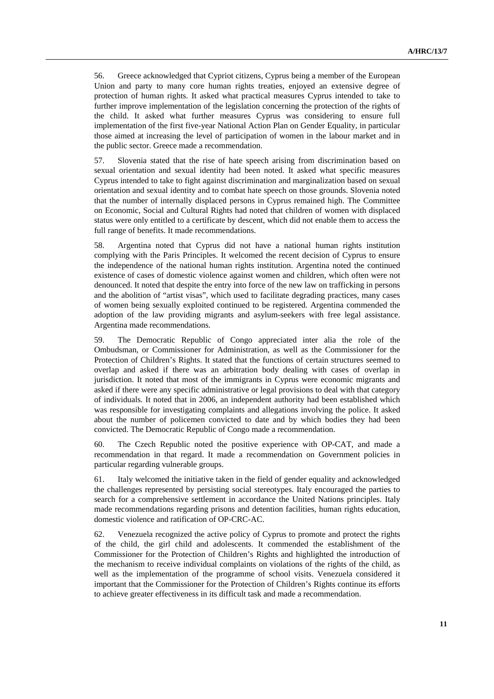56. Greece acknowledged that Cypriot citizens, Cyprus being a member of the European Union and party to many core human rights treaties, enjoyed an extensive degree of protection of human rights. It asked what practical measures Cyprus intended to take to further improve implementation of the legislation concerning the protection of the rights of the child. It asked what further measures Cyprus was considering to ensure full implementation of the first five-year National Action Plan on Gender Equality, in particular those aimed at increasing the level of participation of women in the labour market and in the public sector. Greece made a recommendation.

57. Slovenia stated that the rise of hate speech arising from discrimination based on sexual orientation and sexual identity had been noted. It asked what specific measures Cyprus intended to take to fight against discrimination and marginalization based on sexual orientation and sexual identity and to combat hate speech on those grounds. Slovenia noted that the number of internally displaced persons in Cyprus remained high. The Committee on Economic, Social and Cultural Rights had noted that children of women with displaced status were only entitled to a certificate by descent, which did not enable them to access the full range of benefits. It made recommendations.

58. Argentina noted that Cyprus did not have a national human rights institution complying with the Paris Principles. It welcomed the recent decision of Cyprus to ensure the independence of the national human rights institution. Argentina noted the continued existence of cases of domestic violence against women and children, which often were not denounced. It noted that despite the entry into force of the new law on trafficking in persons and the abolition of "artist visas", which used to facilitate degrading practices, many cases of women being sexually exploited continued to be registered. Argentina commended the adoption of the law providing migrants and asylum-seekers with free legal assistance. Argentina made recommendations.

59. The Democratic Republic of Congo appreciated inter alia the role of the Ombudsman, or Commissioner for Administration, as well as the Commissioner for the Protection of Children's Rights. It stated that the functions of certain structures seemed to overlap and asked if there was an arbitration body dealing with cases of overlap in jurisdiction. It noted that most of the immigrants in Cyprus were economic migrants and asked if there were any specific administrative or legal provisions to deal with that category of individuals. It noted that in 2006, an independent authority had been established which was responsible for investigating complaints and allegations involving the police. It asked about the number of policemen convicted to date and by which bodies they had been convicted. The Democratic Republic of Congo made a recommendation.

60. The Czech Republic noted the positive experience with OP-CAT, and made a recommendation in that regard. It made a recommendation on Government policies in particular regarding vulnerable groups.

61. Italy welcomed the initiative taken in the field of gender equality and acknowledged the challenges represented by persisting social stereotypes. Italy encouraged the parties to search for a comprehensive settlement in accordance the United Nations principles. Italy made recommendations regarding prisons and detention facilities, human rights education, domestic violence and ratification of OP-CRC-AC.

62. Venezuela recognized the active policy of Cyprus to promote and protect the rights of the child, the girl child and adolescents. It commended the establishment of the Commissioner for the Protection of Children's Rights and highlighted the introduction of the mechanism to receive individual complaints on violations of the rights of the child, as well as the implementation of the programme of school visits. Venezuela considered it important that the Commissioner for the Protection of Children's Rights continue its efforts to achieve greater effectiveness in its difficult task and made a recommendation.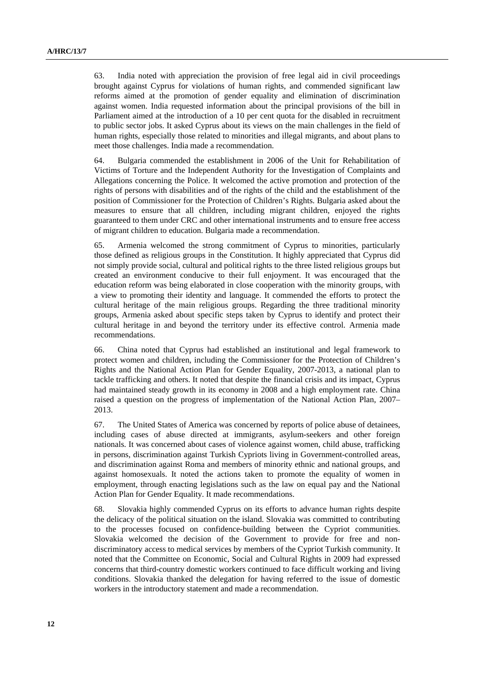63. India noted with appreciation the provision of free legal aid in civil proceedings brought against Cyprus for violations of human rights, and commended significant law reforms aimed at the promotion of gender equality and elimination of discrimination against women. India requested information about the principal provisions of the bill in Parliament aimed at the introduction of a 10 per cent quota for the disabled in recruitment to public sector jobs. It asked Cyprus about its views on the main challenges in the field of human rights, especially those related to minorities and illegal migrants, and about plans to meet those challenges. India made a recommendation.

64. Bulgaria commended the establishment in 2006 of the Unit for Rehabilitation of Victims of Torture and the Independent Authority for the Investigation of Complaints and Allegations concerning the Police. It welcomed the active promotion and protection of the rights of persons with disabilities and of the rights of the child and the establishment of the position of Commissioner for the Protection of Children's Rights. Bulgaria asked about the measures to ensure that all children, including migrant children, enjoyed the rights guaranteed to them under CRC and other international instruments and to ensure free access of migrant children to education. Bulgaria made a recommendation.

65. Armenia welcomed the strong commitment of Cyprus to minorities, particularly those defined as religious groups in the Constitution. It highly appreciated that Cyprus did not simply provide social, cultural and political rights to the three listed religious groups but created an environment conducive to their full enjoyment. It was encouraged that the education reform was being elaborated in close cooperation with the minority groups, with a view to promoting their identity and language. It commended the efforts to protect the cultural heritage of the main religious groups. Regarding the three traditional minority groups, Armenia asked about specific steps taken by Cyprus to identify and protect their cultural heritage in and beyond the territory under its effective control. Armenia made recommendations.

66. China noted that Cyprus had established an institutional and legal framework to protect women and children, including the Commissioner for the Protection of Children's Rights and the National Action Plan for Gender Equality, 2007-2013, a national plan to tackle trafficking and others. It noted that despite the financial crisis and its impact, Cyprus had maintained steady growth in its economy in 2008 and a high employment rate. China raised a question on the progress of implementation of the National Action Plan, 2007– 2013.

67. The United States of America was concerned by reports of police abuse of detainees, including cases of abuse directed at immigrants, asylum-seekers and other foreign nationals. It was concerned about cases of violence against women, child abuse, trafficking in persons, discrimination against Turkish Cypriots living in Government-controlled areas, and discrimination against Roma and members of minority ethnic and national groups, and against homosexuals. It noted the actions taken to promote the equality of women in employment, through enacting legislations such as the law on equal pay and the National Action Plan for Gender Equality. It made recommendations.

68. Slovakia highly commended Cyprus on its efforts to advance human rights despite the delicacy of the political situation on the island. Slovakia was committed to contributing to the processes focused on confidence-building between the Cypriot communities. Slovakia welcomed the decision of the Government to provide for free and nondiscriminatory access to medical services by members of the Cypriot Turkish community. It noted that the Committee on Economic, Social and Cultural Rights in 2009 had expressed concerns that third-country domestic workers continued to face difficult working and living conditions. Slovakia thanked the delegation for having referred to the issue of domestic workers in the introductory statement and made a recommendation.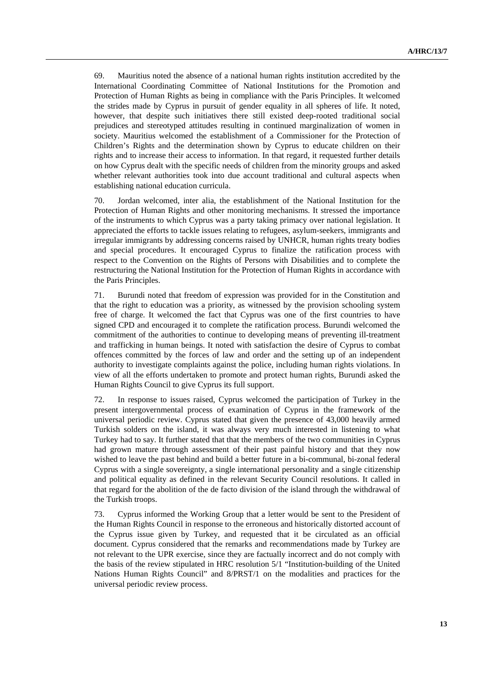69. Mauritius noted the absence of a national human rights institution accredited by the International Coordinating Committee of National Institutions for the Promotion and Protection of Human Rights as being in compliance with the Paris Principles. It welcomed the strides made by Cyprus in pursuit of gender equality in all spheres of life. It noted, however, that despite such initiatives there still existed deep-rooted traditional social prejudices and stereotyped attitudes resulting in continued marginalization of women in society. Mauritius welcomed the establishment of a Commissioner for the Protection of Children's Rights and the determination shown by Cyprus to educate children on their rights and to increase their access to information. In that regard, it requested further details on how Cyprus dealt with the specific needs of children from the minority groups and asked whether relevant authorities took into due account traditional and cultural aspects when establishing national education curricula.

70. Jordan welcomed, inter alia, the establishment of the National Institution for the Protection of Human Rights and other monitoring mechanisms. It stressed the importance of the instruments to which Cyprus was a party taking primacy over national legislation. It appreciated the efforts to tackle issues relating to refugees, asylum-seekers, immigrants and irregular immigrants by addressing concerns raised by UNHCR, human rights treaty bodies and special procedures. It encouraged Cyprus to finalize the ratification process with respect to the Convention on the Rights of Persons with Disabilities and to complete the restructuring the National Institution for the Protection of Human Rights in accordance with the Paris Principles.

71. Burundi noted that freedom of expression was provided for in the Constitution and that the right to education was a priority, as witnessed by the provision schooling system free of charge. It welcomed the fact that Cyprus was one of the first countries to have signed CPD and encouraged it to complete the ratification process. Burundi welcomed the commitment of the authorities to continue to developing means of preventing ill-treatment and trafficking in human beings. It noted with satisfaction the desire of Cyprus to combat offences committed by the forces of law and order and the setting up of an independent authority to investigate complaints against the police, including human rights violations. In view of all the efforts undertaken to promote and protect human rights, Burundi asked the Human Rights Council to give Cyprus its full support.

72. In response to issues raised, Cyprus welcomed the participation of Turkey in the present intergovernmental process of examination of Cyprus in the framework of the universal periodic review. Cyprus stated that given the presence of 43,000 heavily armed Turkish solders on the island, it was always very much interested in listening to what Turkey had to say. It further stated that that the members of the two communities in Cyprus had grown mature through assessment of their past painful history and that they now wished to leave the past behind and build a better future in a bi-communal, bi-zonal federal Cyprus with a single sovereignty, a single international personality and a single citizenship and political equality as defined in the relevant Security Council resolutions. It called in that regard for the abolition of the de facto division of the island through the withdrawal of the Turkish troops.

73. Cyprus informed the Working Group that a letter would be sent to the President of the Human Rights Council in response to the erroneous and historically distorted account of the Cyprus issue given by Turkey, and requested that it be circulated as an official document. Cyprus considered that the remarks and recommendations made by Turkey are not relevant to the UPR exercise, since they are factually incorrect and do not comply with the basis of the review stipulated in HRC resolution 5/1 "Institution-building of the United Nations Human Rights Council" and 8/PRST/1 on the modalities and practices for the universal periodic review process.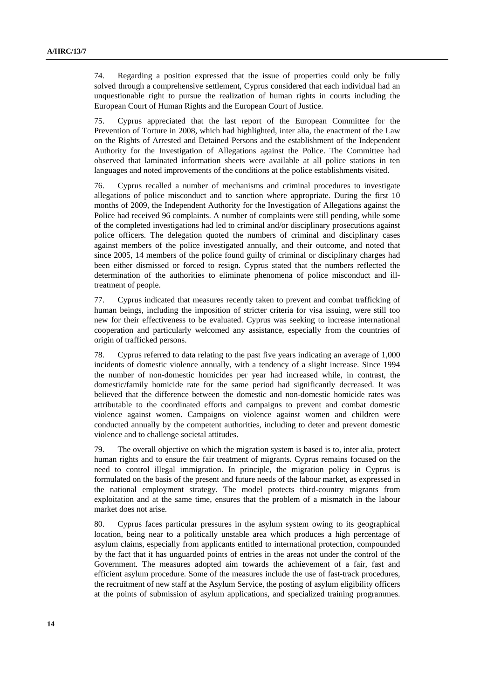74. Regarding a position expressed that the issue of properties could only be fully solved through a comprehensive settlement, Cyprus considered that each individual had an unquestionable right to pursue the realization of human rights in courts including the European Court of Human Rights and the European Court of Justice.

75. Cyprus appreciated that the last report of the European Committee for the Prevention of Torture in 2008, which had highlighted, inter alia, the enactment of the Law on the Rights of Arrested and Detained Persons and the establishment of the Independent Authority for the Investigation of Allegations against the Police. The Committee had observed that laminated information sheets were available at all police stations in ten languages and noted improvements of the conditions at the police establishments visited.

76. Cyprus recalled a number of mechanisms and criminal procedures to investigate allegations of police misconduct and to sanction where appropriate. During the first 10 months of 2009, the Independent Authority for the Investigation of Allegations against the Police had received 96 complaints. A number of complaints were still pending, while some of the completed investigations had led to criminal and/or disciplinary prosecutions against police officers. The delegation quoted the numbers of criminal and disciplinary cases against members of the police investigated annually, and their outcome, and noted that since 2005, 14 members of the police found guilty of criminal or disciplinary charges had been either dismissed or forced to resign. Cyprus stated that the numbers reflected the determination of the authorities to eliminate phenomena of police misconduct and illtreatment of people.

77. Cyprus indicated that measures recently taken to prevent and combat trafficking of human beings, including the imposition of stricter criteria for visa issuing, were still too new for their effectiveness to be evaluated. Cyprus was seeking to increase international cooperation and particularly welcomed any assistance, especially from the countries of origin of trafficked persons.

78. Cyprus referred to data relating to the past five years indicating an average of 1,000 incidents of domestic violence annually, with a tendency of a slight increase. Since 1994 the number of non-domestic homicides per year had increased while, in contrast, the domestic/family homicide rate for the same period had significantly decreased. It was believed that the difference between the domestic and non-domestic homicide rates was attributable to the coordinated efforts and campaigns to prevent and combat domestic violence against women. Campaigns on violence against women and children were conducted annually by the competent authorities, including to deter and prevent domestic violence and to challenge societal attitudes.

79. The overall objective on which the migration system is based is to, inter alia, protect human rights and to ensure the fair treatment of migrants. Cyprus remains focused on the need to control illegal immigration. In principle, the migration policy in Cyprus is formulated on the basis of the present and future needs of the labour market, as expressed in the national employment strategy. The model protects third-country migrants from exploitation and at the same time, ensures that the problem of a mismatch in the labour market does not arise.

80. Cyprus faces particular pressures in the asylum system owing to its geographical location, being near to a politically unstable area which produces a high percentage of asylum claims, especially from applicants entitled to international protection, compounded by the fact that it has unguarded points of entries in the areas not under the control of the Government. The measures adopted aim towards the achievement of a fair, fast and efficient asylum procedure. Some of the measures include the use of fast-track procedures, the recruitment of new staff at the Asylum Service, the posting of asylum eligibility officers at the points of submission of asylum applications, and specialized training programmes.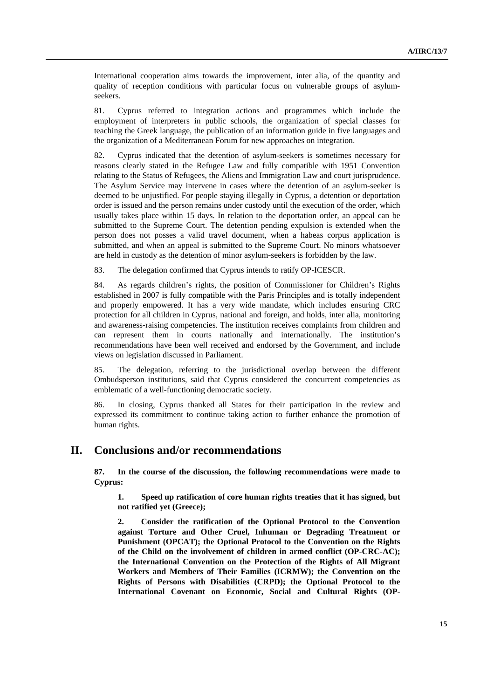International cooperation aims towards the improvement, inter alia, of the quantity and quality of reception conditions with particular focus on vulnerable groups of asylumseekers.

81. Cyprus referred to integration actions and programmes which include the employment of interpreters in public schools, the organization of special classes for teaching the Greek language, the publication of an information guide in five languages and the organization of a Mediterranean Forum for new approaches on integration.

82. Cyprus indicated that the detention of asylum-seekers is sometimes necessary for reasons clearly stated in the Refugee Law and fully compatible with 1951 Convention relating to the Status of Refugees, the Aliens and Immigration Law and court jurisprudence. The Asylum Service may intervene in cases where the detention of an asylum-seeker is deemed to be unjustified. For people staying illegally in Cyprus, a detention or deportation order is issued and the person remains under custody until the execution of the order, which usually takes place within 15 days. In relation to the deportation order, an appeal can be submitted to the Supreme Court. The detention pending expulsion is extended when the person does not posses a valid travel document, when a habeas corpus application is submitted, and when an appeal is submitted to the Supreme Court. No minors whatsoever are held in custody as the detention of minor asylum-seekers is forbidden by the law.

83. The delegation confirmed that Cyprus intends to ratify OP-ICESCR.

84. As regards children's rights, the position of Commissioner for Children's Rights established in 2007 is fully compatible with the Paris Principles and is totally independent and properly empowered. It has a very wide mandate, which includes ensuring CRC protection for all children in Cyprus, national and foreign, and holds, inter alia, monitoring and awareness-raising competencies. The institution receives complaints from children and can represent them in courts nationally and internationally. The institution's recommendations have been well received and endorsed by the Government, and include views on legislation discussed in Parliament.

85. The delegation, referring to the jurisdictional overlap between the different Ombudsperson institutions, said that Cyprus considered the concurrent competencies as emblematic of a well-functioning democratic society.

86. In closing, Cyprus thanked all States for their participation in the review and expressed its commitment to continue taking action to further enhance the promotion of human rights.

## **II. Conclusions and/or recommendations**

**87. In the course of the discussion, the following recommendations were made to Cyprus:** 

**1. Speed up ratification of core human rights treaties that it has signed, but not ratified yet (Greece);** 

**2. Consider the ratification of the Optional Protocol to the Convention against Torture and Other Cruel, Inhuman or Degrading Treatment or Punishment (OPCAT); the Optional Protocol to the Convention on the Rights of the Child on the involvement of children in armed conflict (OP-CRC-AC); the International Convention on the Protection of the Rights of All Migrant Workers and Members of Their Families (ICRMW); the Convention on the Rights of Persons with Disabilities (CRPD); the Optional Protocol to the International Covenant on Economic, Social and Cultural Rights (OP-**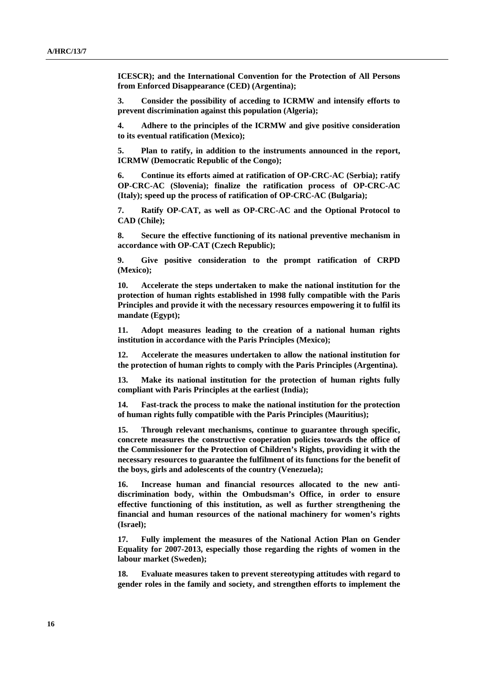**ICESCR); and the International Convention for the Protection of All Persons from Enforced Disappearance (CED) (Argentina);** 

**3. Consider the possibility of acceding to ICRMW and intensify efforts to prevent discrimination against this population (Algeria);** 

**4. Adhere to the principles of the ICRMW and give positive consideration to its eventual ratification (Mexico);** 

**5. Plan to ratify, in addition to the instruments announced in the report, ICRMW (Democratic Republic of the Congo);** 

**6. Continue its efforts aimed at ratification of OP-CRC-AC (Serbia); ratify OP-CRC-AC (Slovenia); finalize the ratification process of OP-CRC-AC (Italy); speed up the process of ratification of OP-CRC-AC (Bulgaria);** 

**7. Ratify OP-CAT, as well as OP-CRC-AC and the Optional Protocol to CAD (Chile);** 

**8. Secure the effective functioning of its national preventive mechanism in accordance with OP-CAT (Czech Republic);** 

**9. Give positive consideration to the prompt ratification of CRPD (Mexico);** 

**10. Accelerate the steps undertaken to make the national institution for the protection of human rights established in 1998 fully compatible with the Paris Principles and provide it with the necessary resources empowering it to fulfil its mandate (Egypt);** 

**11. Adopt measures leading to the creation of a national human rights institution in accordance with the Paris Principles (Mexico);** 

**12. Accelerate the measures undertaken to allow the national institution for the protection of human rights to comply with the Paris Principles (Argentina).** 

**13. Make its national institution for the protection of human rights fully compliant with Paris Principles at the earliest (India);** 

**14. Fast-track the process to make the national institution for the protection of human rights fully compatible with the Paris Principles (Mauritius);** 

**15. Through relevant mechanisms, continue to guarantee through specific, concrete measures the constructive cooperation policies towards the office of the Commissioner for the Protection of Children's Rights, providing it with the necessary resources to guarantee the fulfilment of its functions for the benefit of the boys, girls and adolescents of the country (Venezuela);** 

**16. Increase human and financial resources allocated to the new antidiscrimination body, within the Ombudsman's Office, in order to ensure effective functioning of this institution, as well as further strengthening the financial and human resources of the national machinery for women's rights (Israel);** 

**17. Fully implement the measures of the National Action Plan on Gender Equality for 2007-2013, especially those regarding the rights of women in the labour market (Sweden);** 

**18. Evaluate measures taken to prevent stereotyping attitudes with regard to gender roles in the family and society, and strengthen efforts to implement the**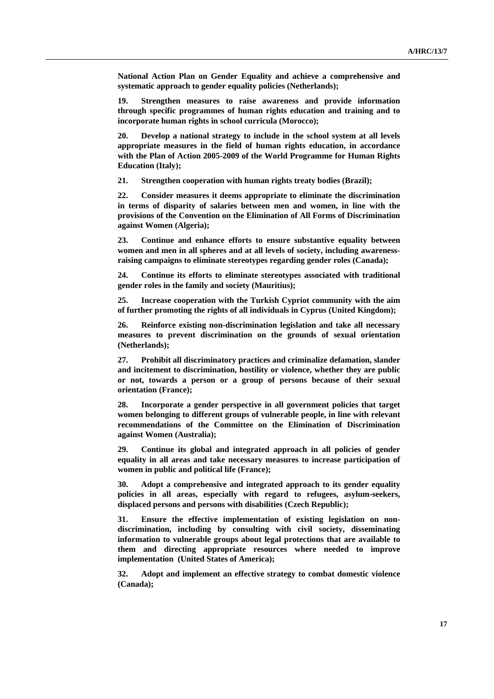**National Action Plan on Gender Equality and achieve a comprehensive and systematic approach to gender equality policies (Netherlands);** 

**19. Strengthen measures to raise awareness and provide information through specific programmes of human rights education and training and to incorporate human rights in school curricula (Morocco);** 

**20. Develop a national strategy to include in the school system at all levels appropriate measures in the field of human rights education, in accordance with the Plan of Action 2005-2009 of the World Programme for Human Rights Education (Italy);** 

**21. Strengthen cooperation with human rights treaty bodies (Brazil);** 

**22. Consider measures it deems appropriate to eliminate the discrimination in terms of disparity of salaries between men and women, in line with the provisions of the Convention on the Elimination of All Forms of Discrimination against Women (Algeria);** 

**23. Continue and enhance efforts to ensure substantive equality between women and men in all spheres and at all levels of society, including awarenessraising campaigns to eliminate stereotypes regarding gender roles (Canada);** 

**24. Continue its efforts to eliminate stereotypes associated with traditional gender roles in the family and society (Mauritius);** 

**25. Increase cooperation with the Turkish Cypriot community with the aim of further promoting the rights of all individuals in Cyprus (United Kingdom);** 

**26. Reinforce existing non-discrimination legislation and take all necessary measures to prevent discrimination on the grounds of sexual orientation (Netherlands);** 

**27. Prohibit all discriminatory practices and criminalize defamation, slander and incitement to discrimination, hostility or violence, whether they are public or not, towards a person or a group of persons because of their sexual orientation (France);** 

**28. Incorporate a gender perspective in all government policies that target women belonging to different groups of vulnerable people, in line with relevant recommendations of the Committee on the Elimination of Discrimination against Women (Australia);** 

**29. Continue its global and integrated approach in all policies of gender equality in all areas and take necessary measures to increase participation of women in public and political life (France);** 

**30. Adopt a comprehensive and integrated approach to its gender equality policies in all areas, especially with regard to refugees, asylum-seekers, displaced persons and persons with disabilities (Czech Republic);** 

**31. Ensure the effective implementation of existing legislation on nondiscrimination, including by consulting with civil society, disseminating information to vulnerable groups about legal protections that are available to them and directing appropriate resources where needed to improve implementation (United States of America);** 

**32. Adopt and implement an effective strategy to combat domestic violence (Canada);**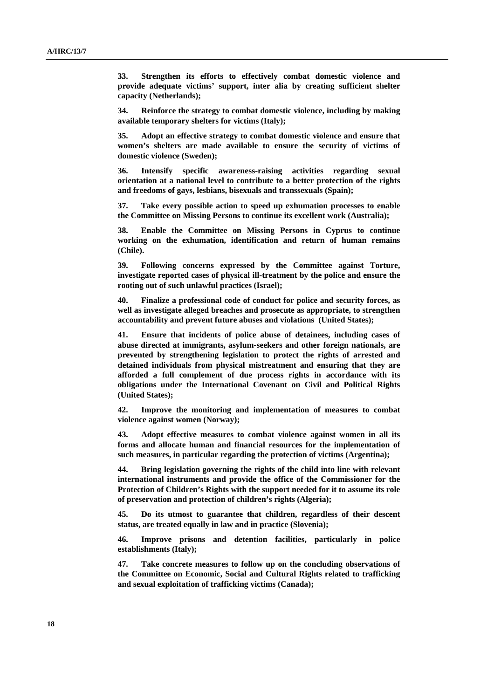**33. Strengthen its efforts to effectively combat domestic violence and provide adequate victims' support, inter alia by creating sufficient shelter capacity (Netherlands);** 

**34. Reinforce the strategy to combat domestic violence, including by making available temporary shelters for victims (Italy);** 

**35. Adopt an effective strategy to combat domestic violence and ensure that women's shelters are made available to ensure the security of victims of domestic violence (Sweden);** 

**36. Intensify specific awareness-raising activities regarding sexual orientation at a national level to contribute to a better protection of the rights and freedoms of gays, lesbians, bisexuals and transsexuals (Spain);** 

**37. Take every possible action to speed up exhumation processes to enable the Committee on Missing Persons to continue its excellent work (Australia);** 

**38. Enable the Committee on Missing Persons in Cyprus to continue working on the exhumation, identification and return of human remains (Chile).** 

**39. Following concerns expressed by the Committee against Torture, investigate reported cases of physical ill-treatment by the police and ensure the rooting out of such unlawful practices (Israel);** 

**40. Finalize a professional code of conduct for police and security forces, as well as investigate alleged breaches and prosecute as appropriate, to strengthen accountability and prevent future abuses and violations (United States);** 

**41. Ensure that incidents of police abuse of detainees, including cases of abuse directed at immigrants, asylum-seekers and other foreign nationals, are prevented by strengthening legislation to protect the rights of arrested and detained individuals from physical mistreatment and ensuring that they are afforded a full complement of due process rights in accordance with its obligations under the International Covenant on Civil and Political Rights (United States);** 

**42. Improve the monitoring and implementation of measures to combat violence against women (Norway);** 

**43. Adopt effective measures to combat violence against women in all its forms and allocate human and financial resources for the implementation of such measures, in particular regarding the protection of victims (Argentina);** 

**44. Bring legislation governing the rights of the child into line with relevant international instruments and provide the office of the Commissioner for the Protection of Children's Rights with the support needed for it to assume its role of preservation and protection of children's rights (Algeria);** 

**45. Do its utmost to guarantee that children, regardless of their descent status, are treated equally in law and in practice (Slovenia);** 

**46. Improve prisons and detention facilities, particularly in police establishments (Italy);** 

**47. Take concrete measures to follow up on the concluding observations of the Committee on Economic, Social and Cultural Rights related to trafficking and sexual exploitation of trafficking victims (Canada);**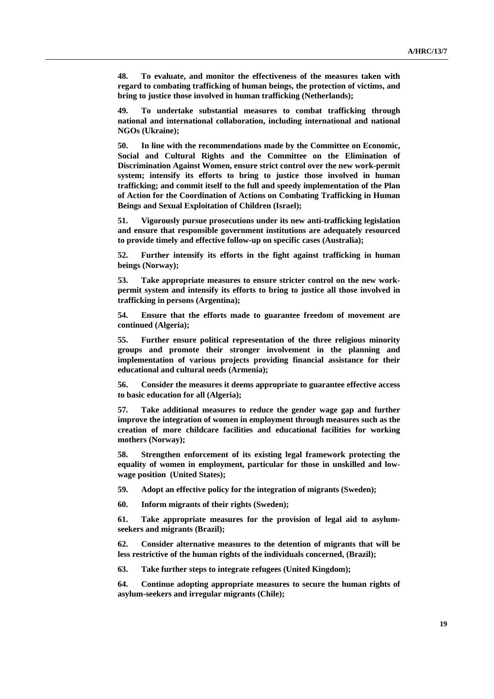**48. To evaluate, and monitor the effectiveness of the measures taken with regard to combating trafficking of human beings, the protection of victims, and bring to justice those involved in human trafficking (Netherlands);** 

**49. To undertake substantial measures to combat trafficking through national and international collaboration, including international and national NGOs (Ukraine);** 

**50. In line with the recommendations made by the Committee on Economic, Social and Cultural Rights and the Committee on the Elimination of Discrimination Against Women, ensure strict control over the new work-permit system; intensify its efforts to bring to justice those involved in human trafficking; and commit itself to the full and speedy implementation of the Plan of Action for the Coordination of Actions on Combating Trafficking in Human Beings and Sexual Exploitation of Children (Israel);** 

**51. Vigorously pursue prosecutions under its new anti-trafficking legislation and ensure that responsible government institutions are adequately resourced to provide timely and effective follow-up on specific cases (Australia);** 

**52. Further intensify its efforts in the fight against trafficking in human beings (Norway);** 

**53. Take appropriate measures to ensure stricter control on the new workpermit system and intensify its efforts to bring to justice all those involved in trafficking in persons (Argentina);** 

**54. Ensure that the efforts made to guarantee freedom of movement are continued (Algeria);** 

**55. Further ensure political representation of the three religious minority groups and promote their stronger involvement in the planning and implementation of various projects providing financial assistance for their educational and cultural needs (Armenia);** 

**56. Consider the measures it deems appropriate to guarantee effective access to basic education for all (Algeria);** 

**57. Take additional measures to reduce the gender wage gap and further improve the integration of women in employment through measures such as the creation of more childcare facilities and educational facilities for working mothers (Norway);** 

**58. Strengthen enforcement of its existing legal framework protecting the equality of women in employment, particular for those in unskilled and lowwage position (United States);** 

**59. Adopt an effective policy for the integration of migrants (Sweden);** 

**60. Inform migrants of their rights (Sweden);** 

**61. Take appropriate measures for the provision of legal aid to asylumseekers and migrants (Brazil);** 

**62. Consider alternative measures to the detention of migrants that will be less restrictive of the human rights of the individuals concerned, (Brazil);** 

**63. Take further steps to integrate refugees (United Kingdom);** 

**64. Continue adopting appropriate measures to secure the human rights of asylum-seekers and irregular migrants (Chile);**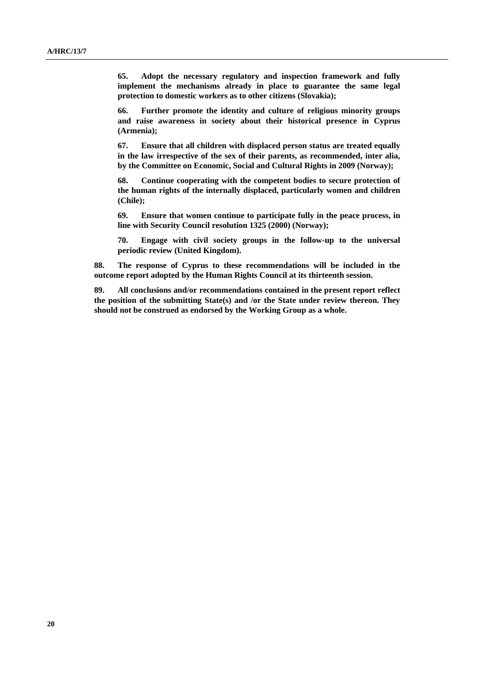**65. Adopt the necessary regulatory and inspection framework and fully implement the mechanisms already in place to guarantee the same legal protection to domestic workers as to other citizens (Slovakia);** 

**66. Further promote the identity and culture of religious minority groups and raise awareness in society about their historical presence in Cyprus (Armenia);** 

**67. Ensure that all children with displaced person status are treated equally in the law irrespective of the sex of their parents, as recommended, inter alia, by the Committee on Economic, Social and Cultural Rights in 2009 (Norway);** 

**68. Continue cooperating with the competent bodies to secure protection of the human rights of the internally displaced, particularly women and children (Chile);** 

**69. Ensure that women continue to participate fully in the peace process, in line with Security Council resolution 1325 (2000) (Norway);** 

**70. Engage with civil society groups in the follow-up to the universal periodic review (United Kingdom).** 

**88. The response of Cyprus to these recommendations will be included in the outcome report adopted by the Human Rights Council at its thirteenth session.** 

**89. All conclusions and/or recommendations contained in the present report reflect the position of the submitting State(s) and /or the State under review thereon. They should not be construed as endorsed by the Working Group as a whole.**